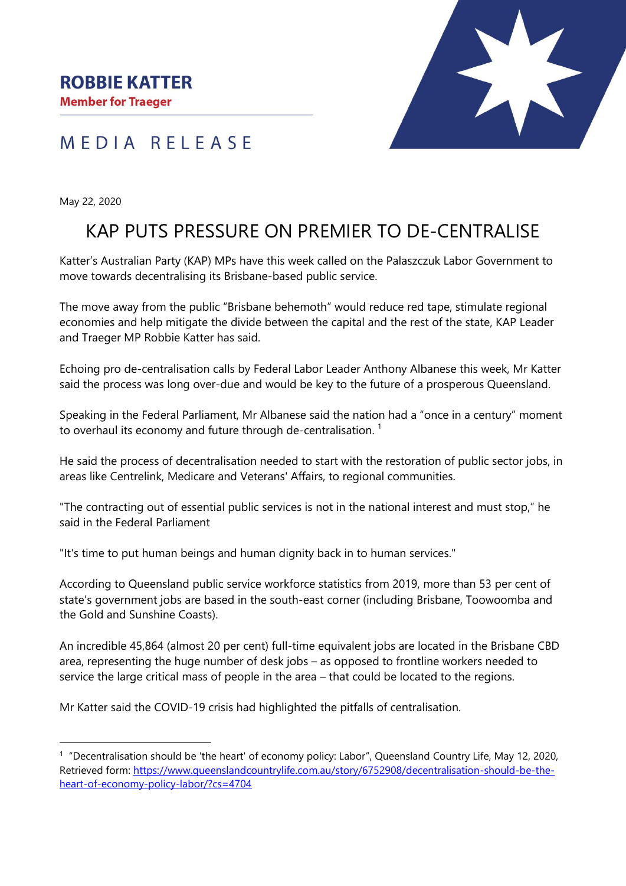## MEDIA RELEASE



May 22, 2020

 $\overline{a}$ 

# KAP PUTS PRESSURE ON PREMIER TO DE-CENTRALISE

Katter's Australian Party (KAP) MPs have this week called on the Palaszczuk Labor Government to move towards decentralising its Brisbane-based public service.

The move away from the public "Brisbane behemoth" would reduce red tape, stimulate regional economies and help mitigate the divide between the capital and the rest of the state, KAP Leader and Traeger MP Robbie Katter has said.

Echoing pro de-centralisation calls by Federal Labor Leader Anthony Albanese this week, Mr Katter said the process was long over-due and would be key to the future of a prosperous Queensland.

Speaking in the Federal Parliament, Mr Albanese said the nation had a "once in a century" moment to overhaul its economy and future through de-centralisation.<sup>1</sup>

He said the process of decentralisation needed to start with the restoration of public sector jobs, in areas like Centrelink, Medicare and Veterans' Affairs, to regional communities.

"The contracting out of essential public services is not in the national interest and must stop," he said in the Federal Parliament

"It's time to put human beings and human dignity back in to human services."

According to Queensland public service workforce statistics from 2019, more than 53 per cent of state's government jobs are based in the south-east corner (including Brisbane, Toowoomba and the Gold and Sunshine Coasts).

An incredible 45,864 (almost 20 per cent) full-time equivalent jobs are located in the Brisbane CBD area, representing the huge number of desk jobs – as opposed to frontline workers needed to service the large critical mass of people in the area – that could be located to the regions.

Mr Katter said the COVID-19 crisis had highlighted the pitfalls of centralisation.

<sup>1</sup> "Decentralisation should be 'the heart' of economy policy: Labor", Queensland Country Life, May 12, 2020, Retrieved form: [https://www.queenslandcountrylife.com.au/story/6752908/decentralisation-should-be-the](https://www.queenslandcountrylife.com.au/story/6752908/decentralisation-should-be-the-heart-of-economy-policy-labor/?cs=4704)[heart-of-economy-policy-labor/?cs=4704](https://www.queenslandcountrylife.com.au/story/6752908/decentralisation-should-be-the-heart-of-economy-policy-labor/?cs=4704)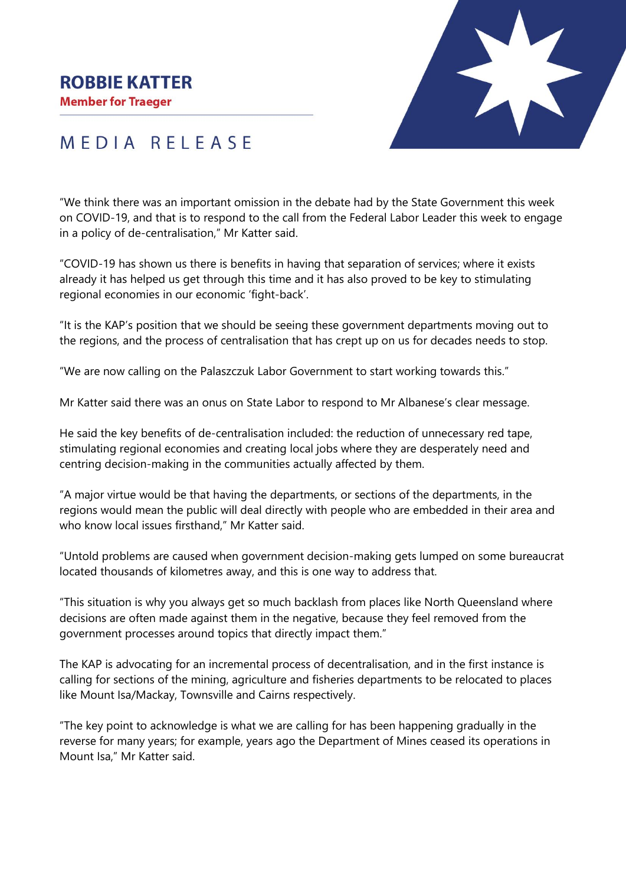#### **ROBBIE KATTER**

**Member for Traeger** 



## MEDIA RELEASE

"We think there was an important omission in the debate had by the State Government this week on COVID-19, and that is to respond to the call from the Federal Labor Leader this week to engage in a policy of de-centralisation," Mr Katter said.

"COVID-19 has shown us there is benefits in having that separation of services; where it exists already it has helped us get through this time and it has also proved to be key to stimulating regional economies in our economic 'fight-back'.

"It is the KAP's position that we should be seeing these government departments moving out to the regions, and the process of centralisation that has crept up on us for decades needs to stop.

"We are now calling on the Palaszczuk Labor Government to start working towards this."

Mr Katter said there was an onus on State Labor to respond to Mr Albanese's clear message.

He said the key benefits of de-centralisation included: the reduction of unnecessary red tape, stimulating regional economies and creating local jobs where they are desperately need and centring decision-making in the communities actually affected by them.

"A major virtue would be that having the departments, or sections of the departments, in the regions would mean the public will deal directly with people who are embedded in their area and who know local issues firsthand." Mr Katter said.

"Untold problems are caused when government decision-making gets lumped on some bureaucrat located thousands of kilometres away, and this is one way to address that.

"This situation is why you always get so much backlash from places like North Queensland where decisions are often made against them in the negative, because they feel removed from the government processes around topics that directly impact them."

The KAP is advocating for an incremental process of decentralisation, and in the first instance is calling for sections of the mining, agriculture and fisheries departments to be relocated to places like Mount Isa/Mackay, Townsville and Cairns respectively.

"The key point to acknowledge is what we are calling for has been happening gradually in the reverse for many years; for example, years ago the Department of Mines ceased its operations in Mount Isa," Mr Katter said.